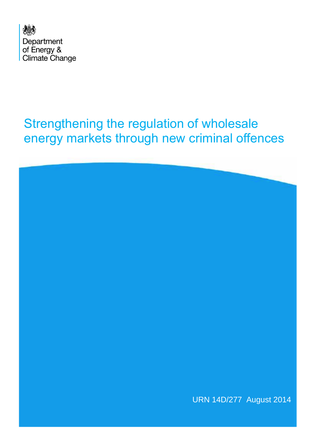

# Strengthening the regulation of wholesale energy markets through new criminal offences

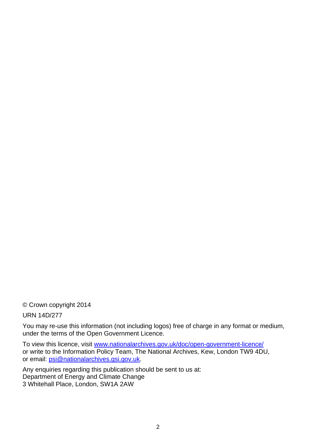© Crown copyright 2014

URN 14D/277

You may re-use this information (not including logos) free of charge in any format or medium, under the terms of the Open Government Licence.

To view this licence, visit [www.nationalarchives.gov.uk/doc/open-government-licence/](http://www.nationalarchives.gov.uk/doc/open-government-licence/) or write to the Information Policy Team, The National Archives, Kew, London TW9 4DU, or email: [psi@nationalarchives.gsi.gov.uk.](mailto:psi@nationalarchives.gsi.gov.uk)

Any enquiries regarding this publication should be sent to us at: Department of Energy and Climate Change 3 Whitehall Place, London, SW1A 2AW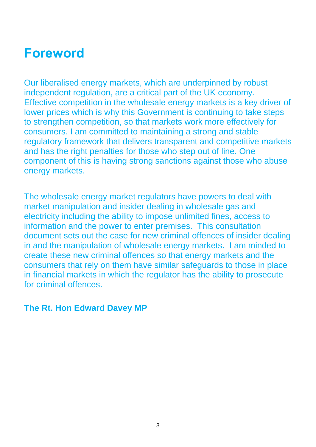# **Foreword**

Our liberalised energy markets, which are underpinned by robust independent regulation, are a critical part of the UK economy. Effective competition in the wholesale energy markets is a key driver of lower prices which is why this Government is continuing to take steps to strengthen competition, so that markets work more effectively for consumers. I am committed to maintaining a strong and stable regulatory framework that delivers transparent and competitive markets and has the right penalties for those who step out of line. One component of this is having strong sanctions against those who abuse energy markets.

The wholesale energy market regulators have powers to deal with market manipulation and insider dealing in wholesale gas and electricity including the ability to impose unlimited fines, access to information and the power to enter premises. This consultation document sets out the case for new criminal offences of insider dealing in and the manipulation of wholesale energy markets. I am minded to create these new criminal offences so that energy markets and the consumers that rely on them have similar safeguards to those in place in financial markets in which the regulator has the ability to prosecute for criminal offences.

### **The Rt. Hon Edward Davey MP**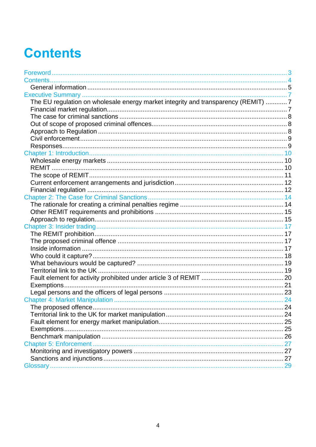# **Contents**

| The EU regulation on wholesale energy market integrity and transparency (REMIT) 7 |  |
|-----------------------------------------------------------------------------------|--|
|                                                                                   |  |
|                                                                                   |  |
|                                                                                   |  |
|                                                                                   |  |
|                                                                                   |  |
|                                                                                   |  |
|                                                                                   |  |
|                                                                                   |  |
|                                                                                   |  |
|                                                                                   |  |
|                                                                                   |  |
|                                                                                   |  |
|                                                                                   |  |
|                                                                                   |  |
|                                                                                   |  |
|                                                                                   |  |
|                                                                                   |  |
|                                                                                   |  |
|                                                                                   |  |
|                                                                                   |  |
|                                                                                   |  |
|                                                                                   |  |
|                                                                                   |  |
|                                                                                   |  |
|                                                                                   |  |
|                                                                                   |  |
|                                                                                   |  |
|                                                                                   |  |
|                                                                                   |  |
|                                                                                   |  |
|                                                                                   |  |
|                                                                                   |  |
| Chapter 5: Enforcement                                                            |  |
|                                                                                   |  |
|                                                                                   |  |
|                                                                                   |  |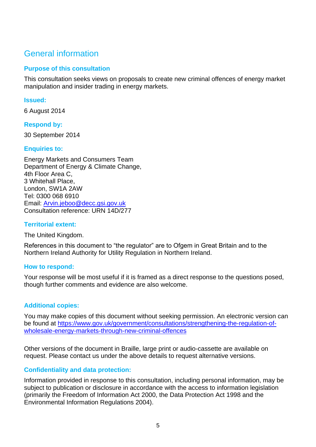# General information

#### **Purpose of this consultation**

This consultation seeks views on proposals to create new criminal offences of energy market manipulation and insider trading in energy markets.

#### **Issued:**

6 August 2014

#### **Respond by:**

30 September 2014

#### **Enquiries to:**

Energy Markets and Consumers Team Department of Energy & Climate Change, 4th Floor Area C, 3 Whitehall Place, London, SW1A 2AW Tel: 0300 068 6910 Email: [Arvin.jeboo@decc.gsi.gov.uk](mailto:xxxxxxxxxx@decc.gsi.gov.uk) Consultation reference: URN 14D/277

#### **Territorial extent:**

The United Kingdom.

References in this document to "the regulator" are to Ofgem in Great Britain and to the Northern Ireland Authority for Utility Regulation in Northern Ireland.

#### **How to respond:**

Your response will be most useful if it is framed as a direct response to the questions posed, though further comments and evidence are also welcome.

#### **Additional copies:**

You may make copies of this document without seeking permission. An electronic version can be found at [https://www.gov.uk/government/consultations/strengthening-the-regulation-of](https://www.gov.uk/government/consultations/strengthening-the-regulation-of-wholesale-energy-markets-through-new-criminal-offences)[wholesale-energy-markets-through-new-criminal-offences](https://www.gov.uk/government/consultations/strengthening-the-regulation-of-wholesale-energy-markets-through-new-criminal-offences)

Other versions of the document in Braille, large print or audio-cassette are available on request. Please contact us under the above details to request alternative versions.

#### **Confidentiality and data protection:**

Information provided in response to this consultation, including personal information, may be subject to publication or disclosure in accordance with the access to information legislation (primarily the Freedom of Information Act 2000, the Data Protection Act 1998 and the Environmental Information Regulations 2004).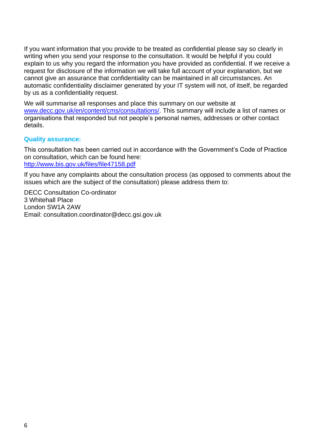If you want information that you provide to be treated as confidential please say so clearly in writing when you send your response to the consultation. It would be helpful if you could explain to us why you regard the information you have provided as confidential. If we receive a request for disclosure of the information we will take full account of your explanation, but we cannot give an assurance that confidentiality can be maintained in all circumstances. An automatic confidentiality disclaimer generated by your IT system will not, of itself, be regarded by us as a confidentiality request.

We will summarise all responses and place this summary on our website at [www.decc.gov.uk/en/content/cms/consultations/.](http://www.decc.gov.uk/en/content/cms/consultations/) This summary will include a list of names or organisations that responded but not people's personal names, addresses or other contact details.

#### **Quality assurance:**

This consultation has been carried out in accordance with the Government's Code of Practice on consultation, which can be found here: <http://www.bis.gov.uk/files/file47158.pdf>

If you have any complaints about the consultation process (as opposed to comments about the issues which are the subject of the consultation) please address them to:

DECC Consultation Co-ordinator 3 Whitehall Place London SW1A 2AW Email: consultation.coordinator@decc.gsi.gov.uk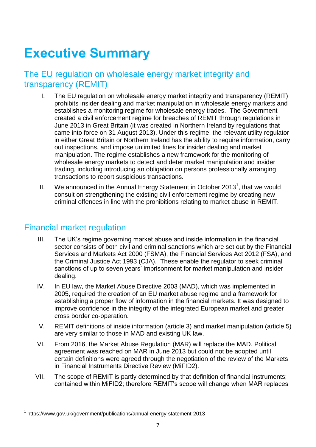# **Executive Summary**

## The EU regulation on wholesale energy market integrity and transparency (REMIT)

- I. The EU regulation on wholesale energy market integrity and transparency (REMIT) prohibits insider dealing and market manipulation in wholesale energy markets and establishes a monitoring regime for wholesale energy trades. The Government created a civil enforcement regime for breaches of REMIT through regulations in June 2013 in Great Britain (it was created in Northern Ireland by regulations that came into force on 31 August 2013). Under this regime, the relevant utility regulator in either Great Britain or Northern Ireland has the ability to require information, carry out inspections, and impose unlimited fines for insider dealing and market manipulation. The regime establishes a new framework for the monitoring of wholesale energy markets to detect and deter market manipulation and insider trading, including introducing an obligation on persons professionally arranging transactions to report suspicious transactions.
- II. We announced in the Annual Energy Statement in October 2013<sup>1</sup>, that we would consult on strengthening the existing civil enforcement regime by creating new criminal offences in line with the prohibitions relating to market abuse in REMIT.

### Financial market regulation

- III. The UK's regime governing market abuse and inside information in the financial sector consists of both civil and criminal sanctions which are set out by the Financial Services and Markets Act 2000 (FSMA), the Financial Services Act 2012 (FSA), and the Criminal Justice Act 1993 (CJA). These enable the regulator to seek criminal sanctions of up to seven years' imprisonment for market manipulation and insider dealing.
- IV. In EU law, the Market Abuse Directive 2003 (MAD), which was implemented in 2005, required the creation of an EU market abuse regime and a framework for establishing a proper flow of information in the financial markets. It was designed to improve confidence in the integrity of the integrated European market and greater cross border co-operation.
- V. REMIT definitions of inside information (article 3) and market manipulation (article 5) are very similar to those in MAD and existing UK law.
- VI. From 2016, the Market Abuse Regulation (MAR) will replace the MAD. Political agreement was reached on MAR in June 2013 but could not be adopted until certain definitions were agreed through the negotiation of the review of the Markets in Financial Instruments Directive Review (MiFID2).
- VII. The scope of REMIT is partly determined by that definition of financial instruments; contained within MiFID2; therefore REMIT's scope will change when MAR replaces

<sup>1</sup> https://www.gov.uk/government/publications/annual-energy-statement-2013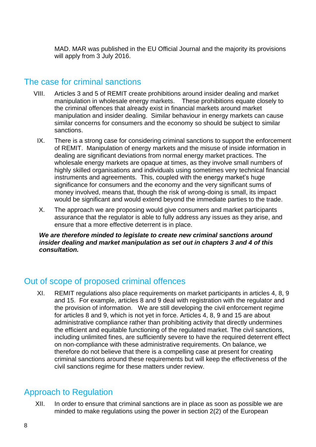MAD. MAR was published in the EU Official Journal and the majority its provisions will apply from 3 July 2016.

## The case for criminal sanctions

- VIII. Articles 3 and 5 of REMIT create prohibitions around insider dealing and market manipulation in wholesale energy markets. These prohibitions equate closely to the criminal offences that already exist in financial markets around market manipulation and insider dealing. Similar behaviour in energy markets can cause similar concerns for consumers and the economy so should be subject to similar sanctions.
	- IX. There is a strong case for considering criminal sanctions to support the enforcement of REMIT. Manipulation of energy markets and the misuse of inside information in dealing are significant deviations from normal energy market practices. The wholesale energy markets are opaque at times, as they involve small numbers of highly skilled organisations and individuals using sometimes very technical financial instruments and agreements. This, coupled with the energy market's huge significance for consumers and the economy and the very significant sums of money involved, means that, though the risk of wrong-doing is small, its impact would be significant and would extend beyond the immediate parties to the trade.
	- X. The approach we are proposing would give consumers and market participants assurance that the regulator is able to fully address any issues as they arise, and ensure that a more effective deterrent is in place.

*We are therefore minded to legislate to create new criminal sanctions around insider dealing and market manipulation as set out in chapters 3 and 4 of this consultation.* 

## Out of scope of proposed criminal offences

XI. REMIT regulations also place requirements on market participants in articles 4, 8, 9 and 15. For example, articles 8 and 9 deal with registration with the regulator and the provision of information. We are still developing the civil enforcement regime for articles 8 and 9, which is not yet in force. Articles 4, 8, 9 and 15 are about administrative compliance rather than prohibiting activity that directly undermines the efficient and equitable functioning of the regulated market. The civil sanctions, including unlimited fines, are sufficiently severe to have the required deterrent effect on non-compliance with these administrative requirements. On balance, we therefore do not believe that there is a compelling case at present for creating criminal sanctions around these requirements but will keep the effectiveness of the civil sanctions regime for these matters under review.

# Approach to Regulation

XII. In order to ensure that criminal sanctions are in place as soon as possible we are minded to make regulations using the power in section 2(2) of the European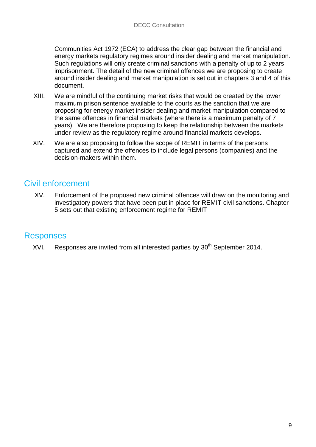Communities Act 1972 (ECA) to address the clear gap between the financial and energy markets regulatory regimes around insider dealing and market manipulation. Such regulations will only create criminal sanctions with a penalty of up to 2 years imprisonment. The detail of the new criminal offences we are proposing to create around insider dealing and market manipulation is set out in chapters 3 and 4 of this document.

- XIII. We are mindful of the continuing market risks that would be created by the lower maximum prison sentence available to the courts as the sanction that we are proposing for energy market insider dealing and market manipulation compared to the same offences in financial markets (where there is a maximum penalty of 7 years). We are therefore proposing to keep the relationship between the markets under review as the regulatory regime around financial markets develops.
- XIV. We are also proposing to follow the scope of REMIT in terms of the persons captured and extend the offences to include legal persons (companies) and the decision-makers within them.

# Civil enforcement

XV. Enforcement of the proposed new criminal offences will draw on the monitoring and investigatory powers that have been put in place for REMIT civil sanctions. Chapter 5 sets out that existing enforcement regime for REMIT

## Responses

XVI. Responses are invited from all interested parties by  $30<sup>th</sup>$  September 2014.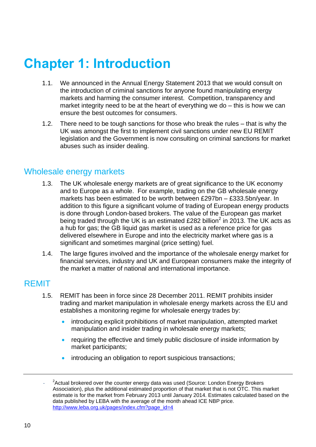# **Chapter 1: Introduction**

- 1.1. We announced in the Annual Energy Statement 2013 that we would consult on the introduction of criminal sanctions for anyone found manipulating energy markets and harming the consumer interest. Competition, transparency and market integrity need to be at the heart of everything we do – this is how we can ensure the best outcomes for consumers.
- 1.2. There need to be tough sanctions for those who break the rules that is why the UK was amongst the first to implement civil sanctions under new EU REMIT legislation and the Government is now consulting on criminal sanctions for market abuses such as insider dealing.

### Wholesale energy markets

- 1.3. The UK wholesale energy markets are of great significance to the UK economy and to Europe as a whole. For example, trading on the GB wholesale energy markets has been estimated to be worth between £297bn – £333.5bn/year. In addition to this figure a significant volume of trading of European energy products is done through London-based brokers. The value of the European gas market being traded through the UK is an estimated £282 billion<sup>2</sup> in 2013. The UK acts as a hub for gas; the GB liquid gas market is used as a reference price for gas delivered elsewhere in Europe and into the electricity market where gas is a significant and sometimes marginal (price setting) fuel.
- 1.4. The large figures involved and the importance of the wholesale energy market for financial services, industry and UK and European consumers make the integrity of the market a matter of national and international importance.

## **REMIT**

- 1.5. REMIT has been in force since 28 December 2011. REMIT prohibits insider trading and market manipulation in wholesale energy markets across the EU and establishes a monitoring regime for wholesale energy trades by:
	- introducing explicit prohibitions of market manipulation, attempted market manipulation and insider trading in wholesale energy markets;
	- requiring the effective and timely public disclosure of inside information by market participants;
	- introducing an obligation to report suspicious transactions;

<sup>-</sup> <sup>2</sup> Actual brokered over the counter energy data was used (Source: London Energy Brokers Association), plus the additional estimated proportion of that market that is not OTC. This market estimate is for the market from February 2013 until January 2014. Estimates calculated based on the data published by LEBA with the average of the month ahead ICE NBP price. [http://www.leba.org.uk/pages/index.cfm?page\\_id=4](http://www.leba.org.uk/pages/index.cfm?page_id=4)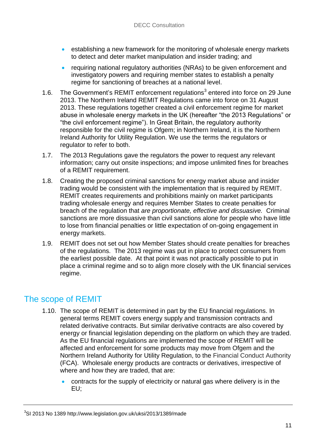- establishing a new framework for the monitoring of wholesale energy markets to detect and deter market manipulation and insider trading; and
- requiring national regulatory authorities (NRAs) to be given enforcement and investigatory powers and requiring member states to establish a penalty regime for sanctioning of breaches at a national level.
- 1.6. The Government's REMIT enforcement regulations<sup>3</sup> entered into force on 29 June 2013. The Northern Ireland REMIT Regulations came into force on 31 August 2013. These regulations together created a civil enforcement regime for market abuse in wholesale energy markets in the UK (hereafter "the 2013 Regulations" or "the civil enforcement regime"). In Great Britain, the regulatory authority responsible for the civil regime is Ofgem; in Northern Ireland, it is the Northern Ireland Authority for Utility Regulation. We use the terms the regulators or regulator to refer to both.
- 1.7. The 2013 Regulations gave the regulators the power to request any relevant information; carry out onsite inspections; and impose unlimited fines for breaches of a REMIT requirement.
- 1.8. Creating the proposed criminal sanctions for energy market abuse and insider trading would be consistent with the implementation that is required by REMIT. REMIT creates requirements and prohibitions mainly on market participants trading wholesale energy and requires Member States to create penalties for breach of the regulation that *are proportionate, effective and dissuasive.* Criminal sanctions are more dissuasive than civil sanctions alone for people who have little to lose from financial penalties or little expectation of on-going engagement in energy markets.
- 1.9. REMIT does not set out how Member States should create penalties for breaches of the regulations. The 2013 regime was put in place to protect consumers from the earliest possible date. At that point it was not practically possible to put in place a criminal regime and so to align more closely with the UK financial services regime.

## The scope of REMIT

- 1.10. The scope of REMIT is determined in part by the EU financial regulations. In general terms REMIT covers energy supply and transmission contracts and related derivative contracts. But similar derivative contracts are also covered by energy or financial legislation depending on the platform on which they are traded. As the EU financial regulations are implemented the scope of REMIT will be affected and enforcement for some products may move from Ofgem and the Northern Ireland Authority for Utility Regulation, to the Financial Conduct Authority (FCA). Wholesale energy products are contracts or derivatives, irrespective of where and how they are traded, that are:
	- contracts for the supply of electricity or natural gas where delivery is in the EU;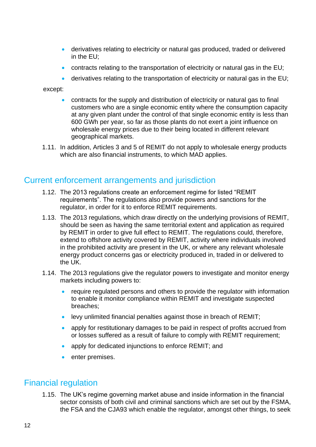- derivatives relating to electricity or natural gas produced, traded or delivered in the EU;
- contracts relating to the transportation of electricity or natural gas in the EU;
- derivatives relating to the transportation of electricity or natural gas in the EU;

#### except:

- contracts for the supply and distribution of electricity or natural gas to final customers who are a single economic entity where the consumption capacity at any given plant under the control of that single economic entity is less than 600 GWh per year, so far as those plants do not exert a joint influence on wholesale energy prices due to their being located in different relevant geographical markets.
- 1.11. In addition, Articles 3 and 5 of REMIT do not apply to wholesale energy products which are also financial instruments, to which MAD applies.

### Current enforcement arrangements and jurisdiction

- 1.12. The 2013 regulations create an enforcement regime for listed "REMIT requirements". The regulations also provide powers and sanctions for the regulator, in order for it to enforce REMIT requirements.
- 1.13. The 2013 regulations, which draw directly on the underlying provisions of REMIT, should be seen as having the same territorial extent and application as required by REMIT in order to give full effect to REMIT. The regulations could, therefore, extend to offshore activity covered by REMIT, activity where individuals involved in the prohibited activity are present in the UK, or where any relevant wholesale energy product concerns gas or electricity produced in, traded in or delivered to the UK.
- 1.14. The 2013 regulations give the regulator powers to investigate and monitor energy markets including powers to:
	- require regulated persons and others to provide the regulator with information to enable it monitor compliance within REMIT and investigate suspected breaches;
	- levy unlimited financial penalties against those in breach of REMIT;
	- apply for restitutionary damages to be paid in respect of profits accrued from or losses suffered as a result of failure to comply with REMIT requirement;
	- apply for dedicated injunctions to enforce REMIT; and
	- **enter premises.**

### Financial regulation

1.15. The UK's regime governing market abuse and inside information in the financial sector consists of both civil and criminal sanctions which are set out by the FSMA, the FSA and the CJA93 which enable the regulator, amongst other things, to seek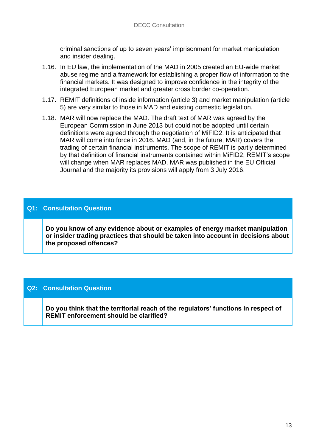criminal sanctions of up to seven years' imprisonment for market manipulation and insider dealing.

- 1.16. In EU law, the implementation of the MAD in 2005 created an EU-wide market abuse regime and a framework for establishing a proper flow of information to the financial markets. It was designed to improve confidence in the integrity of the integrated European market and greater cross border co-operation.
- 1.17. REMIT definitions of inside information (article 3) and market manipulation (article 5) are very similar to those in MAD and existing domestic legislation.
- 1.18. MAR will now replace the MAD. The draft text of MAR was agreed by the European Commission in June 2013 but could not be adopted until certain definitions were agreed through the negotiation of MiFID2. It is anticipated that MAR will come into force in 2016. MAD (and, in the future, MAR) covers the trading of certain financial instruments. The scope of REMIT is partly determined by that definition of financial instruments contained within MiFID2; REMIT's scope will change when MAR replaces MAD. MAR was published in the EU Official Journal and the majority its provisions will apply from 3 July 2016.

#### **Q1: Consultation Question**

**1. Do you know of any evidence about or examples of energy market manipulation or insider trading practices that should be taken into account in decisions about the proposed offences?**

#### **Q2: Consultation Question**

**2. Do you think that the territorial reach of the regulators' functions in respect of REMIT enforcement should be clarified?**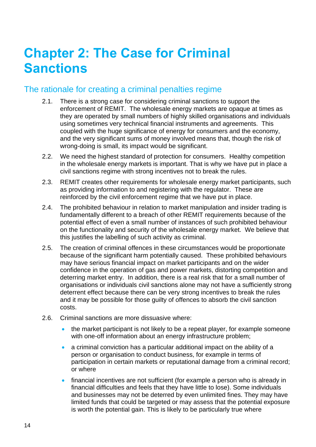# **Chapter 2: The Case for Criminal Sanctions**

## The rationale for creating a criminal penalties regime

- 2.1. There is a strong case for considering criminal sanctions to support the enforcement of REMIT. The wholesale energy markets are opaque at times as they are operated by small numbers of highly skilled organisations and individuals using sometimes very technical financial instruments and agreements. This coupled with the huge significance of energy for consumers and the economy, and the very significant sums of money involved means that, though the risk of wrong-doing is small, its impact would be significant.
- 2.2. We need the highest standard of protection for consumers. Healthy competition in the wholesale energy markets is important. That is why we have put in place a civil sanctions regime with strong incentives not to break the rules.
- 2.3. REMIT creates other requirements for wholesale energy market participants, such as providing information to and registering with the regulator. These are reinforced by the civil enforcement regime that we have put in place.
- 2.4. The prohibited behaviour in relation to market manipulation and insider trading is fundamentally different to a breach of other REMIT requirements because of the potential effect of even a small number of instances of such prohibited behaviour on the functionality and security of the wholesale energy market. We believe that this justifies the labelling of such activity as criminal.
- 2.5. The creation of criminal offences in these circumstances would be proportionate because of the significant harm potentially caused. These prohibited behaviours may have serious financial impact on market participants and on the wider confidence in the operation of gas and power markets, distorting competition and deterring market entry. In addition, there is a real risk that for a small number of organisations or individuals civil sanctions alone may not have a sufficiently strong deterrent effect because there can be very strong incentives to break the rules and it may be possible for those guilty of offences to absorb the civil sanction costs.
- 2.6. Criminal sanctions are more dissuasive where:
	- the market participant is not likely to be a repeat player, for example someone with one-off information about an energy infrastructure problem;
	- a criminal conviction has a particular additional impact on the ability of a person or organisation to conduct business, for example in terms of participation in certain markets or reputational damage from a criminal record; or where
	- financial incentives are not sufficient (for example a person who is already in financial difficulties and feels that they have little to lose). Some individuals and businesses may not be deterred by even unlimited fines. They may have limited funds that could be targeted or may assess that the potential exposure is worth the potential gain. This is likely to be particularly true where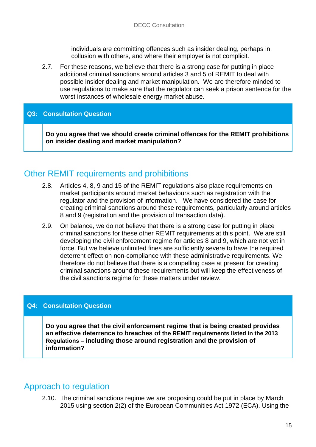individuals are committing offences such as insider dealing, perhaps in collusion with others, and where their employer is not complicit.

2.7. For these reasons, we believe that there is a strong case for putting in place additional criminal sanctions around articles 3 and 5 of REMIT to deal with possible insider dealing and market manipulation. We are therefore minded to use regulations to make sure that the regulator can seek a prison sentence for the worst instances of wholesale energy market abuse.

#### **Q3: Consultation Question**

**Do you agree that we should create criminal offences for the REMIT prohibitions on insider dealing and market manipulation?** 

## Other REMIT requirements and prohibitions

- 2.8. Articles 4, 8, 9 and 15 of the REMIT regulations also place requirements on market participants around market behaviours such as registration with the regulator and the provision of information. We have considered the case for creating criminal sanctions around these requirements, particularly around articles 8 and 9 (registration and the provision of transaction data).
- 2.9. On balance, we do not believe that there is a strong case for putting in place criminal sanctions for these other REMIT requirements at this point. We are still developing the civil enforcement regime for articles 8 and 9, which are not yet in force. But we believe unlimited fines are sufficiently severe to have the required deterrent effect on non-compliance with these administrative requirements. We therefore do not believe that there is a compelling case at present for creating criminal sanctions around these requirements but will keep the effectiveness of the civil sanctions regime for these matters under review.

#### **Q4: Consultation Question**

**Do you agree that the civil enforcement regime that is being created provides an effective deterrence to breaches of the REMIT requirements listed in the 2013 Regulations – including those around registration and the provision of information?** 

### Approach to regulation

2.10. The criminal sanctions regime we are proposing could be put in place by March 2015 using section 2(2) of the European Communities Act 1972 (ECA). Using the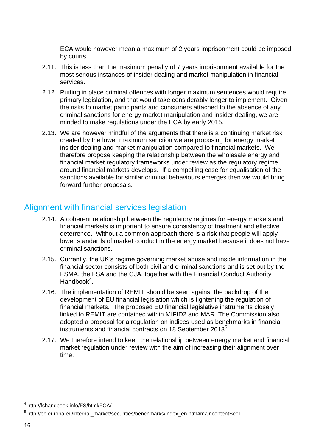ECA would however mean a maximum of 2 years imprisonment could be imposed by courts.

- 2.11. This is less than the maximum penalty of 7 years imprisonment available for the most serious instances of insider dealing and market manipulation in financial services.
- 2.12. Putting in place criminal offences with longer maximum sentences would require primary legislation, and that would take considerably longer to implement. Given the risks to market participants and consumers attached to the absence of any criminal sanctions for energy market manipulation and insider dealing, we are minded to make regulations under the ECA by early 2015.
- 2.13. We are however mindful of the arguments that there is a continuing market risk created by the lower maximum sanction we are proposing for energy market insider dealing and market manipulation compared to financial markets. We therefore propose keeping the relationship between the wholesale energy and financial market regulatory frameworks under review as the regulatory regime around financial markets develops. If a compelling case for equalisation of the sanctions available for similar criminal behaviours emerges then we would bring forward further proposals.

## Alignment with financial services legislation

- 2.14. A coherent relationship between the regulatory regimes for energy markets and financial markets is important to ensure consistency of treatment and effective deterrence. Without a common approach there is a risk that people will apply lower standards of market conduct in the energy market because it does not have criminal sanctions.
- 2.15. Currently, the UK's regime governing market abuse and inside information in the financial sector consists of both civil and criminal sanctions and is set out by the FSMA, the FSA and the CJA, together with the Financial Conduct Authority Handbook<sup>4</sup>.
- 2.16. The implementation of REMIT should be seen against the backdrop of the development of EU financial legislation which is tightening the regulation of financial markets. The proposed EU financial legislative instruments closely linked to REMIT are contained within MIFID2 and MAR. The Commission also adopted a proposal for a regulation on indices used as benchmarks in financial instruments and financial contracts on 18 September 2013 $5$ .
- 2.17. We therefore intend to keep the relationship between energy market and financial market regulation under review with the aim of increasing their alignment over time.

<sup>4</sup> http://fshandbook.info/FS/html/FCA/

<sup>&</sup>lt;sup>5</sup> http://ec.europa.eu/internal\_market/securities/benchmarks/index\_en.htm#maincontentSec1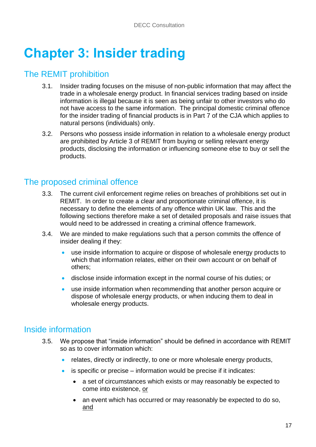# **Chapter 3: Insider trading**

## The REMIT prohibition

- 3.1. Insider trading focuses on the misuse of non-public information that may affect the trade in a wholesale energy product. In financial services trading based on inside information is illegal because it is seen as being unfair to other investors who do not have access to the same information. The principal domestic criminal offence for the insider trading of financial products is in Part 7 of the CJA which applies to natural persons (individuals) only.
- 3.2. Persons who possess inside information in relation to a wholesale energy product are prohibited by Article 3 of REMIT from buying or selling relevant energy products, disclosing the information or influencing someone else to buy or sell the products.

## The proposed criminal offence

- 3.3. The current civil enforcement regime relies on breaches of prohibitions set out in REMIT. In order to create a clear and proportionate criminal offence, it is necessary to define the elements of any offence within UK law. This and the following sections therefore make a set of detailed proposals and raise issues that would need to be addressed in creating a criminal offence framework.
- 3.4. We are minded to make regulations such that a person commits the offence of insider dealing if they:
	- use inside information to acquire or dispose of wholesale energy products to which that information relates, either on their own account or on behalf of others;
	- disclose inside information except in the normal course of his duties; or
	- use inside information when recommending that another person acquire or dispose of wholesale energy products, or when inducing them to deal in wholesale energy products.

## Inside information

- 3.5. We propose that "inside information" should be defined in accordance with REMIT so as to cover information which:
	- relates, directly or indirectly, to one or more wholesale energy products,
	- is specific or precise information would be precise if it indicates:
		- a set of circumstances which exists or may reasonably be expected to come into existence, or
		- an event which has occurred or may reasonably be expected to do so, and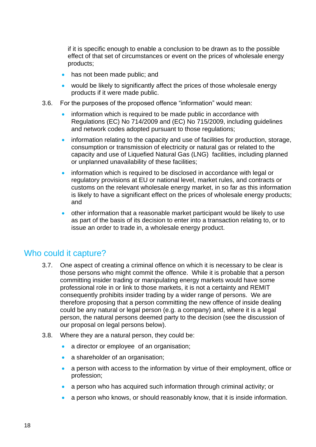if it is specific enough to enable a conclusion to be drawn as to the possible effect of that set of circumstances or event on the prices of wholesale energy products;

- has not been made public; and
- would be likely to significantly affect the prices of those wholesale energy products if it were made public.
- 3.6. For the purposes of the proposed offence "information" would mean:
	- information which is required to be made public in accordance with Regulations (EC) No 714/2009 and (EC) No 715/2009, including guidelines and network codes adopted pursuant to those regulations;
	- information relating to the capacity and use of facilities for production, storage, consumption or transmission of electricity or natural gas or related to the capacity and use of Liquefied Natural Gas (LNG) facilities, including planned or unplanned unavailability of these facilities;
	- information which is required to be disclosed in accordance with legal or regulatory provisions at EU or national level, market rules, and contracts or customs on the relevant wholesale energy market, in so far as this information is likely to have a significant effect on the prices of wholesale energy products; and
	- other information that a reasonable market participant would be likely to use as part of the basis of its decision to enter into a transaction relating to, or to issue an order to trade in, a wholesale energy product.

### Who could it capture?

- 3.7. One aspect of creating a criminal offence on which it is necessary to be clear is those persons who might commit the offence. While it is probable that a person committing insider trading or manipulating energy markets would have some professional role in or link to those markets, it is not a certainty and REMIT consequently prohibits insider trading by a wider range of persons. We are therefore proposing that a person committing the new offence of inside dealing could be any natural or legal person (e.g. a company) and, where it is a legal person, the natural persons deemed party to the decision (see the discussion of our proposal on legal persons below).
- 3.8. Where they are a natural person, they could be:
	- a director or employee of an organisation;
	- a shareholder of an organisation;
	- a person with access to the information by virtue of their employment, office or profession;
	- a person who has acquired such information through criminal activity; or
	- a person who knows, or should reasonably know, that it is inside information.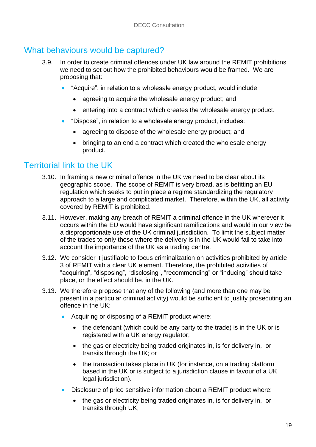## What behaviours would be captured?

- 3.9. In order to create criminal offences under UK law around the REMIT prohibitions we need to set out how the prohibited behaviours would be framed. We are proposing that:
	- "Acquire", in relation to a wholesale energy product, would include
		- agreeing to acquire the wholesale energy product; and
		- entering into a contract which creates the wholesale energy product.
	- "Dispose", in relation to a wholesale energy product, includes:
		- agreeing to dispose of the wholesale energy product; and
		- bringing to an end a contract which created the wholesale energy product.

### Territorial link to the UK

- 3.10. In framing a new criminal offence in the UK we need to be clear about its geographic scope. The scope of REMIT is very broad, as is befitting an EU regulation which seeks to put in place a regime standardizing the regulatory approach to a large and complicated market. Therefore, within the UK, all activity covered by REMIT is prohibited.
- 3.11. However, making any breach of REMIT a criminal offence in the UK wherever it occurs within the EU would have significant ramifications and would in our view be a disproportionate use of the UK criminal jurisdiction. To limit the subject matter of the trades to only those where the delivery is in the UK would fail to take into account the importance of the UK as a trading centre.
- 3.12. We consider it justifiable to focus criminalization on activities prohibited by article 3 of REMIT with a clear UK element. Therefore, the prohibited activities of "acquiring", "disposing", "disclosing", "recommending" or "inducing" should take place, or the effect should be, in the UK.
- 3.13. We therefore propose that any of the following (and more than one may be present in a particular criminal activity) would be sufficient to justify prosecuting an offence in the UK:
	- Acquiring or disposing of a REMIT product where:
		- the defendant (which could be any party to the trade) is in the UK or is registered with a UK energy regulator;
		- the gas or electricity being traded originates in, is for delivery in, or transits through the UK; or
		- the transaction takes place in UK (for instance, on a trading platform based in the UK or is subject to a jurisdiction clause in favour of a UK legal jurisdiction).
	- Disclosure of price sensitive information about a REMIT product where:
		- the gas or electricity being traded originates in, is for delivery in, or transits through UK;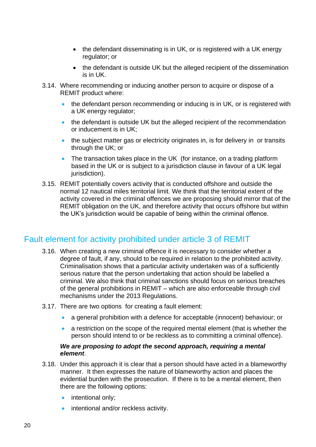- the defendant disseminating is in UK, or is registered with a UK energy regulator; or
- the defendant is outside UK but the alleged recipient of the dissemination is in UK.
- 3.14. Where recommending or inducing another person to acquire or dispose of a REMIT product where:
	- the defendant person recommending or inducing is in UK, or is registered with a UK energy regulator;
	- the defendant is outside UK but the alleged recipient of the recommendation or inducement is in UK;
	- the subject matter gas or electricity originates in, is for delivery in or transits through the UK; or
	- The transaction takes place in the UK (for instance, on a trading platform based in the UK or is subject to a jurisdiction clause in favour of a UK legal jurisdiction).
- 3.15. REMIT potentially covers activity that is conducted offshore and outside the normal 12 nautical miles territorial limit. We think that the territorial extent of the activity covered in the criminal offences we are proposing should mirror that of the REMIT obligation on the UK, and therefore activity that occurs offshore but within the UK's jurisdiction would be capable of being within the criminal offence.

## Fault element for activity prohibited under article 3 of REMIT

- 3.16. When creating a new criminal offence it is necessary to consider whether a degree of fault, if any, should to be required in relation to the prohibited activity. Criminalisation shows that a particular activity undertaken was of a sufficiently serious nature that the person undertaking that action should be labelled a criminal. We also think that criminal sanctions should focus on serious breaches of the general prohibitions in REMIT – which are also enforceable through civil mechanisms under the 2013 Regulations.
- 3.17. There are two options for creating a fault element:
	- a general prohibition with a defence for acceptable (innocent) behaviour; or
	- a restriction on the scope of the required mental element (that is whether the person should intend to or be reckless as to committing a criminal offence).

#### *We are proposing to adopt the second approach, requiring a mental element*.

- 3.18. Under this approach it is clear that a person should have acted in a blameworthy manner. It then expresses the nature of blameworthy action and places the evidential burden with the prosecution. If there is to be a mental element, then there are the following options:
	- intentional only;
	- intentional and/or reckless activity.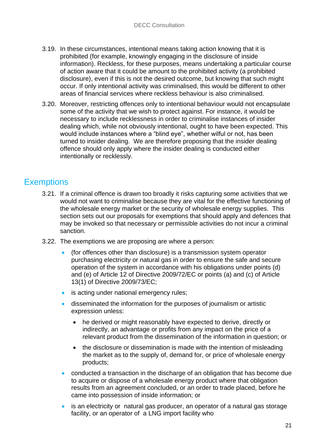- 3.19. In these circumstances, intentional means taking action knowing that it is prohibited (for example, knowingly engaging in the disclosure of inside information). Reckless, for these purposes, means undertaking a particular course of action aware that it could be amount to the prohibited activity (a prohibited disclosure), even if this is not the desired outcome, but knowing that such might occur. If only intentional activity was criminalised, this would be different to other areas of financial services where reckless behaviour is also criminalised.
- 3.20. Moreover, restricting offences only to intentional behaviour would not encapsulate some of the activity that we wish to protect against. For instance, it would be necessary to include recklessness in order to criminalise instances of insider dealing which, while not obviously intentional, ought to have been expected. This would include instances where a "blind eye", whether wilful or not, has been turned to insider dealing. We are therefore proposing that the insider dealing offence should only apply where the insider dealing is conducted either intentionally or recklessly.

## **Exemptions**

- 3.21. If a criminal offence is drawn too broadly it risks capturing some activities that we would not want to criminalise because they are vital for the effective functioning of the wholesale energy market or the security of wholesale energy supplies. This section sets out our proposals for exemptions that should apply and defences that may be invoked so that necessary or permissible activities do not incur a criminal sanction.
- 3.22. The exemptions we are proposing are where a person:
	- (for offences other than disclosure) is a transmission system operator purchasing electricity or natural gas in order to ensure the safe and secure operation of the system in accordance with his obligations under points (d) and (e) of Article 12 of Directive 2009/72/EC or points (a) and (c) of Article 13(1) of Directive 2009/73/EC;
	- is acting under national emergency rules;
	- disseminated the information for the purposes of journalism or artistic expression unless:
		- he derived or might reasonably have expected to derive, directly or indirectly, an advantage or profits from any impact on the price of a relevant product from the dissemination of the information in question; or
		- the disclosure or dissemination is made with the intention of misleading the market as to the supply of, demand for, or price of wholesale energy products;
	- conducted a transaction in the discharge of an obligation that has become due to acquire or dispose of a wholesale energy product where that obligation results from an agreement concluded, or an order to trade placed, before he came into possession of inside information; or
	- is an electricity or natural gas producer, an operator of a natural gas storage facility, or an operator of a LNG import facility who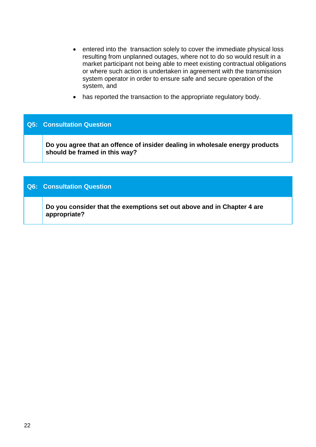- entered into the transaction solely to cover the immediate physical loss resulting from unplanned outages, where not to do so would result in a market participant not being able to meet existing contractual obligations or where such action is undertaken in agreement with the transmission system operator in order to ensure safe and secure operation of the system, and
- has reported the transaction to the appropriate regulatory body.

#### **Q5: Consultation Question**

**1. Do you agree that an offence of insider dealing in wholesale energy products should be framed in this way?** 

#### **Q6: Consultation Question**

**1. Do you consider that the exemptions set out above and in Chapter 4 are appropriate?**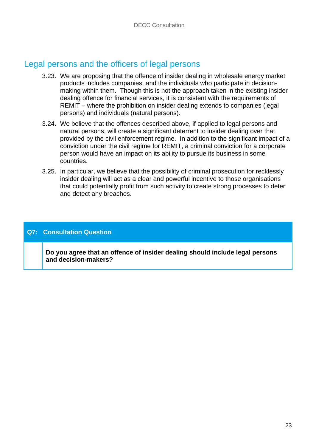## Legal persons and the officers of legal persons

- 3.23. We are proposing that the offence of insider dealing in wholesale energy market products includes companies, and the individuals who participate in decisionmaking within them. Though this is not the approach taken in the existing insider dealing offence for financial services, it is consistent with the requirements of REMIT – where the prohibition on insider dealing extends to companies (legal persons) and individuals (natural persons).
- 3.24. We believe that the offences described above, if applied to legal persons and natural persons, will create a significant deterrent to insider dealing over that provided by the civil enforcement regime. In addition to the significant impact of a conviction under the civil regime for REMIT, a criminal conviction for a corporate person would have an impact on its ability to pursue its business in some countries.
- 3.25. In particular, we believe that the possibility of criminal prosecution for recklessly insider dealing will act as a clear and powerful incentive to those organisations that could potentially profit from such activity to create strong processes to deter and detect any breaches.

#### **Q7: Consultation Question**

**1. Do you agree that an offence of insider dealing should include legal persons and decision-makers?**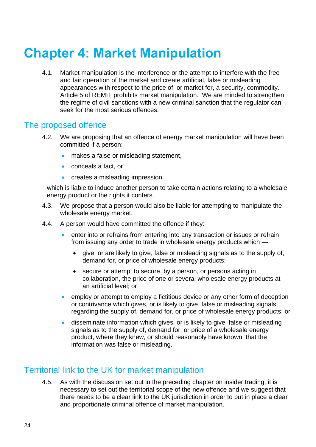# **Chapter 4: Market Manipulation**

4.1. Market manipulation is the interference or the attempt to interfere with the free and fair operation of the market and create artificial, false or misleading appearances with respect to the price of, or market for, a security, commodity. Article 5 of REMIT prohibits market manipulation. We are minded to strengthen the regime of civil sanctions with a new criminal sanction that the regulator can seek for the most serious offences.

### The proposed offence

- 4.2. We are proposing that an offence of energy market manipulation will have been committed if a person:
	- makes a false or misleading statement,
	- conceals a fact, or
	- creates a misleading impression

which is liable to induce another person to take certain actions relating to a wholesale energy product or the rights it confers.

- 4.3. We propose that a person would also be liable for attempting to manipulate the wholesale energy market.
- 4.4. A person would have committed the offence if they:
	- **•** enter into or refrains from entering into any transaction or issues or refrain from issuing any order to trade in wholesale energy products which
		- give, or are likely to give, false or misleading signals as to the supply of, demand for, or price of wholesale energy products;
		- secure or attempt to secure, by a person, or persons acting in collaboration, the price of one or several wholesale energy products at an artificial level; or
	- **EXECT** employ or attempt to employ a fictitious device or any other form of deception or contrivance which gives, or is likely to give, false or misleading signals regarding the supply of, demand for, or price of wholesale energy products; or
	- disseminate information which gives, or is likely to give, false or misleading signals as to the supply of, demand for, or price of a wholesale energy product, where they knew, or should reasonably have known, that the information was false or misleading.

## Territorial link to the UK for market manipulation

4.5. As with the discussion set out in the preceding chapter on insider trading, it is necessary to set out the territorial scope of the new offence and we suggest that there needs to be a clear link to the UK jurisdiction in order to put in place a clear and proportionate criminal offence of market manipulation.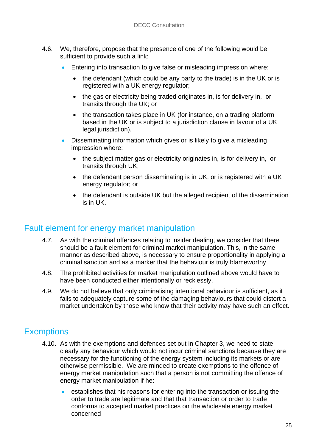- 4.6. We, therefore, propose that the presence of one of the following would be sufficient to provide such a link:
	- Entering into transaction to give false or misleading impression where:
		- the defendant (which could be any party to the trade) is in the UK or is registered with a UK energy regulator;
		- the gas or electricity being traded originates in, is for delivery in, or transits through the UK; or
		- the transaction takes place in UK (for instance, on a trading platform based in the UK or is subject to a jurisdiction clause in favour of a UK legal jurisdiction).
	- Disseminating information which gives or is likely to give a misleading impression where:
		- the subject matter gas or electricity originates in, is for delivery in, or transits through UK;
		- the defendant person disseminating is in UK, or is registered with a UK energy regulator; or
		- the defendant is outside UK but the alleged recipient of the dissemination is in UK.

## Fault element for energy market manipulation

- 4.7. As with the criminal offences relating to insider dealing, we consider that there should be a fault element for criminal market manipulation. This, in the same manner as described above, is necessary to ensure proportionality in applying a criminal sanction and as a marker that the behaviour is truly blameworthy
- 4.8. The prohibited activities for market manipulation outlined above would have to have been conducted either intentionally or recklessly.
- 4.9. We do not believe that only criminalising intentional behaviour is sufficient, as it fails to adequately capture some of the damaging behaviours that could distort a market undertaken by those who know that their activity may have such an effect.

# **Exemptions**

- 4.10. As with the exemptions and defences set out in Chapter 3, we need to state clearly any behaviour which would not incur criminal sanctions because they are necessary for the functioning of the energy system including its markets or are otherwise permissible. We are minded to create exemptions to the offence of energy market manipulation such that a person is not committing the offence of energy market manipulation if he:
	- establishes that his reasons for entering into the transaction or issuing the order to trade are legitimate and that that transaction or order to trade conforms to accepted market practices on the wholesale energy market concerned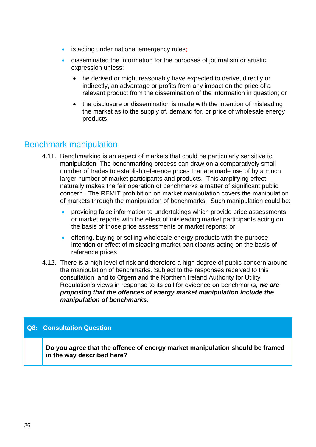- is acting under national emergency rules;
- disseminated the information for the purposes of journalism or artistic expression unless:
	- he derived or might reasonably have expected to derive, directly or indirectly, an advantage or profits from any impact on the price of a relevant product from the dissemination of the information in question; or
	- the disclosure or dissemination is made with the intention of misleading the market as to the supply of, demand for, or price of wholesale energy products.

## Benchmark manipulation

- 4.11. Benchmarking is an aspect of markets that could be particularly sensitive to manipulation. The benchmarking process can draw on a comparatively small number of trades to establish reference prices that are made use of by a much larger number of market participants and products. This amplifying effect naturally makes the fair operation of benchmarks a matter of significant public concern. The REMIT prohibition on market manipulation covers the manipulation of markets through the manipulation of benchmarks. Such manipulation could be:
	- providing false information to undertakings which provide price assessments or market reports with the effect of misleading market participants acting on the basis of those price assessments or market reports; or
	- offering, buying or selling wholesale energy products with the purpose, intention or effect of misleading market participants acting on the basis of reference prices
- 4.12. There is a high level of risk and therefore a high degree of public concern around the manipulation of benchmarks. Subject to the responses received to this consultation, and to Ofgem and the Northern Ireland Authority for Utility Regulation's views in response to its call for evidence on benchmarks, *we are proposing that the offences of energy market manipulation include the manipulation of benchmarks*.

#### **Q8: Consultation Question**

**1. Do you agree that the offence of energy market manipulation should be framed in the way described here?**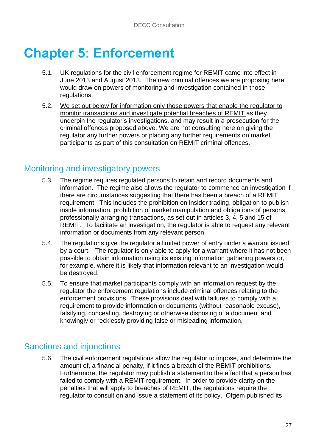# **Chapter 5: Enforcement**

- 5.1. UK regulations for the civil enforcement regime for REMIT came into effect in June 2013 and August 2013. The new criminal offences we are proposing here would draw on powers of monitoring and investigation contained in those regulations.
- 5.2. We set out below for information only those powers that enable the regulator to monitor transactions and investigate potential breaches of REMIT as they underpin the regulator's investigations, and may result in a prosecution for the criminal offences proposed above. We are not consulting here on giving the regulator any further powers or placing any further requirements on market participants as part of this consultation on REMIT criminal offences.

## Monitoring and investigatory powers

- 5.3. The regime requires regulated persons to retain and record documents and information. The regime also allows the regulator to commence an investigation if there are circumstances suggesting that there has been a breach of a REMIT requirement. This includes the prohibition on insider trading, obligation to publish inside information, prohibition of market manipulation and obligations of persons professionally arranging transactions, as set out in articles 3, 4, 5 and 15 of REMIT. To facilitate an investigation, the regulator is able to request any relevant information or documents from any relevant person.
- 5.4. The regulations give the regulator a limited power of entry under a warrant issued by a court. The regulator is only able to apply for a warrant where it has not been possible to obtain information using its existing information gathering powers or, for example, where it is likely that information relevant to an investigation would be destroyed.
- 5.5. To ensure that market participants comply with an information request by the regulator the enforcement regulations include criminal offences relating to the enforcement provisions. These provisions deal with failures to comply with a requirement to provide information or documents (without reasonable excuse), falsifying, concealing, destroying or otherwise disposing of a document and knowingly or recklessly providing false or misleading information.

## Sanctions and injunctions

5.6. The civil enforcement regulations allow the regulator to impose, and determine the amount of, a financial penalty, if it finds a breach of the REMIT prohibitions. Furthermore, the regulator may publish a statement to the effect that a person has failed to comply with a REMIT requirement. In order to provide clarity on the penalties that will apply to breaches of REMIT, the regulations require the regulator to consult on and issue a statement of its policy. Ofgem published its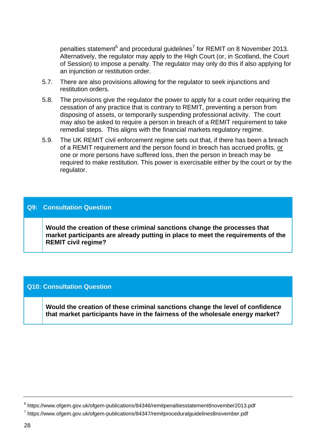penalties statement<sup>6</sup> and procedural guidelines<sup>7</sup> for REMIT on 8 November 2013. Alternatively, the regulator may apply to the High Court (or, in Scotland, the Court of Session) to impose a penalty. The regulator may only do this if also applying for an injunction or restitution order.

- 5.7. There are also provisions allowing for the regulator to seek injunctions and restitution orders.
- 5.8. The provisions give the regulator the power to apply for a court order requiring the cessation of any practice that is contrary to REMIT, preventing a person from disposing of assets, or temporarily suspending professional activity. The court may also be asked to require a person in breach of a REMIT requirement to take remedial steps. This aligns with the financial markets regulatory regime.
- 5.9. The UK REMIT civil enforcement regime sets out that, if there has been a breach of a REMIT requirement and the person found in breach has accrued profits, or one or more persons have suffered loss, then the person in breach may be required to make restitution. This power is exercisable either by the court or by the regulator.

#### **Q9: Consultation Question**

**1. Would the creation of these criminal sanctions change the processes that market participants are already putting in place to meet the requirements of the REMIT civil regime?** 

#### **Q10: Consultation Question**

**1. Would the creation of these criminal sanctions change the level of confidence that market participants have in the fairness of the wholesale energy market?** 

<sup>6</sup> https://www.ofgem.gov.uk/ofgem-publications/84346/remitpenaltiesstatement8november2013.pdf

<sup>&</sup>lt;sup>7</sup> https://www.ofgem.gov.uk/ofgem-publications/84347/remitproceduralguidelines8november.pdf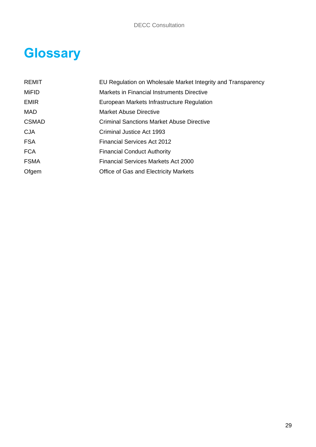# **Glossary**

| REMIT        | EU Regulation on Wholesale Market Integrity and Transparency |
|--------------|--------------------------------------------------------------|
| <b>MiFID</b> | Markets in Financial Instruments Directive                   |
| <b>EMIR</b>  | European Markets Infrastructure Regulation                   |
| MAD          | <b>Market Abuse Directive</b>                                |
| <b>CSMAD</b> | <b>Criminal Sanctions Market Abuse Directive</b>             |
| <b>CJA</b>   | Criminal Justice Act 1993                                    |
| <b>FSA</b>   | <b>Financial Services Act 2012</b>                           |
| <b>FCA</b>   | <b>Financial Conduct Authority</b>                           |
| <b>FSMA</b>  | <b>Financial Services Markets Act 2000</b>                   |
| Ofgem        | <b>Office of Gas and Electricity Markets</b>                 |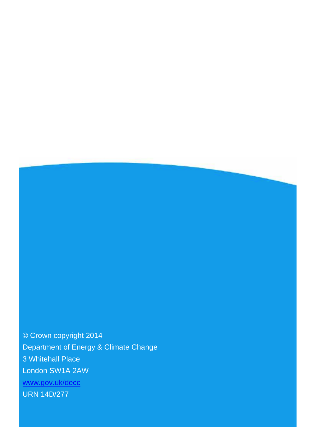© Crown copyright 2014 Department of Energy & Climate Change 3 Whitehall Place London SW1A 2AW [www.gov.uk/decc](http://www.gov.uk/decc) URN 14D/277